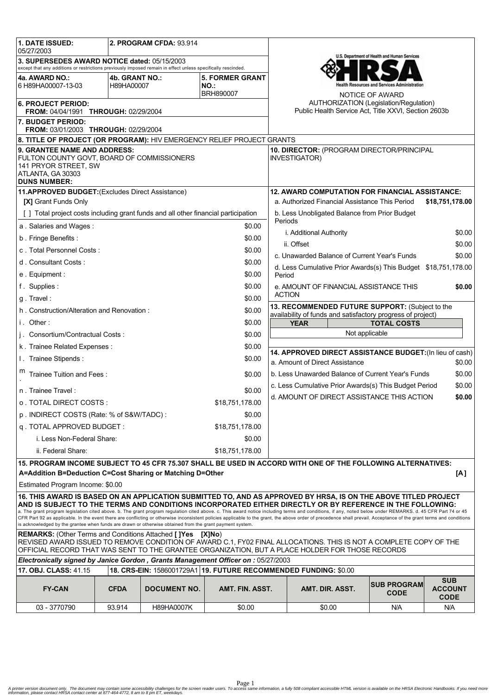| 1. DATE ISSUED:<br>05/27/2003                                                                                                                                                                                                                                                                                                                                                                                                                                                                                                                                                                                                                                     | 2. PROGRAM CFDA: 93.914 |                     |                                            |                                                                                                                                                     |                                                                   |                                                                |                                             |  |
|-------------------------------------------------------------------------------------------------------------------------------------------------------------------------------------------------------------------------------------------------------------------------------------------------------------------------------------------------------------------------------------------------------------------------------------------------------------------------------------------------------------------------------------------------------------------------------------------------------------------------------------------------------------------|-------------------------|---------------------|--------------------------------------------|-----------------------------------------------------------------------------------------------------------------------------------------------------|-------------------------------------------------------------------|----------------------------------------------------------------|---------------------------------------------|--|
| 3. SUPERSEDES AWARD NOTICE dated: 05/15/2003<br>except that any additions or restrictions previously imposed remain in effect unless specifically rescinded.                                                                                                                                                                                                                                                                                                                                                                                                                                                                                                      |                         |                     |                                            | U.S. Department of Health and Human Services                                                                                                        |                                                                   |                                                                |                                             |  |
| 4b. GRANT NO.:                                                                                                                                                                                                                                                                                                                                                                                                                                                                                                                                                                                                                                                    |                         |                     |                                            |                                                                                                                                                     |                                                                   |                                                                |                                             |  |
| 4a. AWARD NO.:<br>6 H89HA00007-13-03                                                                                                                                                                                                                                                                                                                                                                                                                                                                                                                                                                                                                              | H89HA00007              |                     | <b>5. FORMER GRANT</b><br>NO.<br>BRH890007 |                                                                                                                                                     |                                                                   | ealth Resources and Services Administration<br>NOTICE OF AWARD |                                             |  |
| <b>6. PROJECT PERIOD:</b><br><b>FROM: 04/04/1991 THROUGH: 02/29/2004</b>                                                                                                                                                                                                                                                                                                                                                                                                                                                                                                                                                                                          |                         |                     |                                            | <b>AUTHORIZATION (Legislation/Regulation)</b><br>Public Health Service Act, Title XXVI, Section 2603b                                               |                                                                   |                                                                |                                             |  |
| 7. BUDGET PERIOD:<br>FROM: 03/01/2003 THROUGH: 02/29/2004                                                                                                                                                                                                                                                                                                                                                                                                                                                                                                                                                                                                         |                         |                     |                                            |                                                                                                                                                     |                                                                   |                                                                |                                             |  |
| 8. TITLE OF PROJECT (OR PROGRAM): HIV EMERGENCY RELIEF PROJECT GRANTS                                                                                                                                                                                                                                                                                                                                                                                                                                                                                                                                                                                             |                         |                     |                                            |                                                                                                                                                     |                                                                   |                                                                |                                             |  |
| <b>9. GRANTEE NAME AND ADDRESS:</b><br>FULTON COUNTY GOVT, BOARD OF COMMISSIONERS<br>141 PRYOR STREET, SW<br>ATLANTA, GA 30303<br><b>DUNS NUMBER:</b>                                                                                                                                                                                                                                                                                                                                                                                                                                                                                                             |                         |                     |                                            |                                                                                                                                                     | 10. DIRECTOR: (PROGRAM DIRECTOR/PRINCIPAL<br><b>INVESTIGATOR)</b> |                                                                |                                             |  |
| 11.APPROVED BUDGET: (Excludes Direct Assistance)                                                                                                                                                                                                                                                                                                                                                                                                                                                                                                                                                                                                                  |                         |                     |                                            |                                                                                                                                                     | <b>12. AWARD COMPUTATION FOR FINANCIAL ASSISTANCE:</b>            |                                                                |                                             |  |
| [X] Grant Funds Only                                                                                                                                                                                                                                                                                                                                                                                                                                                                                                                                                                                                                                              |                         |                     |                                            |                                                                                                                                                     | a. Authorized Financial Assistance This Period<br>\$18,751,178.00 |                                                                |                                             |  |
| [] Total project costs including grant funds and all other financial participation                                                                                                                                                                                                                                                                                                                                                                                                                                                                                                                                                                                |                         |                     |                                            | b. Less Unobligated Balance from Prior Budget<br>Periods                                                                                            |                                                                   |                                                                |                                             |  |
| a. Salaries and Wages:<br>\$0.00                                                                                                                                                                                                                                                                                                                                                                                                                                                                                                                                                                                                                                  |                         |                     |                                            |                                                                                                                                                     |                                                                   |                                                                |                                             |  |
| b. Fringe Benefits:                                                                                                                                                                                                                                                                                                                                                                                                                                                                                                                                                                                                                                               |                         |                     | \$0.00                                     |                                                                                                                                                     | i. Additional Authority                                           |                                                                | \$0.00                                      |  |
| c. Total Personnel Costs:                                                                                                                                                                                                                                                                                                                                                                                                                                                                                                                                                                                                                                         |                         |                     | \$0.00                                     | ii. Offset<br>\$0.00                                                                                                                                |                                                                   |                                                                |                                             |  |
| d. Consultant Costs:<br>\$0.00                                                                                                                                                                                                                                                                                                                                                                                                                                                                                                                                                                                                                                    |                         |                     |                                            | c. Unawarded Balance of Current Year's Funds<br>\$0.00                                                                                              |                                                                   |                                                                |                                             |  |
| \$0.00<br>e. Equipment:                                                                                                                                                                                                                                                                                                                                                                                                                                                                                                                                                                                                                                           |                         |                     |                                            | d. Less Cumulative Prior Awards(s) This Budget \$18,751,178.00<br>Period                                                                            |                                                                   |                                                                |                                             |  |
| f. Supplies:                                                                                                                                                                                                                                                                                                                                                                                                                                                                                                                                                                                                                                                      |                         |                     | \$0.00                                     | e. AMOUNT OF FINANCIAL ASSISTANCE THIS<br>\$0.00                                                                                                    |                                                                   |                                                                |                                             |  |
| \$0.00<br>g. Travel:                                                                                                                                                                                                                                                                                                                                                                                                                                                                                                                                                                                                                                              |                         |                     |                                            | <b>ACTION</b>                                                                                                                                       |                                                                   |                                                                |                                             |  |
| \$0.00<br>h. Construction/Alteration and Renovation:                                                                                                                                                                                                                                                                                                                                                                                                                                                                                                                                                                                                              |                         |                     |                                            | 13. RECOMMENDED FUTURE SUPPORT: (Subject to the<br>availability of funds and satisfactory progress of project)<br><b>YEAR</b><br><b>TOTAL COSTS</b> |                                                                   |                                                                |                                             |  |
| i. Other:<br>\$0.00                                                                                                                                                                                                                                                                                                                                                                                                                                                                                                                                                                                                                                               |                         |                     |                                            |                                                                                                                                                     |                                                                   |                                                                |                                             |  |
| j. Consortium/Contractual Costs:<br>\$0.00                                                                                                                                                                                                                                                                                                                                                                                                                                                                                                                                                                                                                        |                         |                     |                                            | Not applicable                                                                                                                                      |                                                                   |                                                                |                                             |  |
| \$0.00<br>k. Trainee Related Expenses:                                                                                                                                                                                                                                                                                                                                                                                                                                                                                                                                                                                                                            |                         |                     |                                            |                                                                                                                                                     |                                                                   |                                                                |                                             |  |
| I. Trainee Stipends:                                                                                                                                                                                                                                                                                                                                                                                                                                                                                                                                                                                                                                              |                         |                     | \$0.00                                     | 14. APPROVED DIRECT ASSISTANCE BUDGET: (In lieu of cash)<br>a. Amount of Direct Assistance<br>\$0.00                                                |                                                                   |                                                                |                                             |  |
| Trainee Tuition and Fees:                                                                                                                                                                                                                                                                                                                                                                                                                                                                                                                                                                                                                                         |                         |                     | \$0.00                                     | b. Less Unawarded Balance of Current Year's Funds                                                                                                   |                                                                   |                                                                | \$0.00                                      |  |
| n. Trainee Travel:                                                                                                                                                                                                                                                                                                                                                                                                                                                                                                                                                                                                                                                |                         |                     | \$0.00                                     | c. Less Cumulative Prior Awards(s) This Budget Period<br>\$0.00<br>d. AMOUNT OF DIRECT ASSISTANCE THIS ACTION                                       |                                                                   |                                                                |                                             |  |
| o. TOTAL DIRECT COSTS:                                                                                                                                                                                                                                                                                                                                                                                                                                                                                                                                                                                                                                            |                         |                     | \$18,751,178.00                            |                                                                                                                                                     |                                                                   |                                                                | \$0.00                                      |  |
| p. INDIRECT COSTS (Rate: % of S&W/TADC):<br>\$0.00                                                                                                                                                                                                                                                                                                                                                                                                                                                                                                                                                                                                                |                         |                     |                                            |                                                                                                                                                     |                                                                   |                                                                |                                             |  |
| q. TOTAL APPROVED BUDGET:<br>\$18,751,178.00                                                                                                                                                                                                                                                                                                                                                                                                                                                                                                                                                                                                                      |                         |                     |                                            |                                                                                                                                                     |                                                                   |                                                                |                                             |  |
| i. Less Non-Federal Share:<br>\$0.00                                                                                                                                                                                                                                                                                                                                                                                                                                                                                                                                                                                                                              |                         |                     |                                            |                                                                                                                                                     |                                                                   |                                                                |                                             |  |
| ii. Federal Share:                                                                                                                                                                                                                                                                                                                                                                                                                                                                                                                                                                                                                                                |                         |                     | \$18,751,178.00                            |                                                                                                                                                     |                                                                   |                                                                |                                             |  |
| 15. PROGRAM INCOME SUBJECT TO 45 CFR 75.307 SHALL BE USED IN ACCORD WITH ONE OF THE FOLLOWING ALTERNATIVES:                                                                                                                                                                                                                                                                                                                                                                                                                                                                                                                                                       |                         |                     |                                            |                                                                                                                                                     |                                                                   |                                                                |                                             |  |
| A=Addition B=Deduction C=Cost Sharing or Matching D=Other<br>[A]                                                                                                                                                                                                                                                                                                                                                                                                                                                                                                                                                                                                  |                         |                     |                                            |                                                                                                                                                     |                                                                   |                                                                |                                             |  |
| Estimated Program Income: \$0.00                                                                                                                                                                                                                                                                                                                                                                                                                                                                                                                                                                                                                                  |                         |                     |                                            |                                                                                                                                                     |                                                                   |                                                                |                                             |  |
| 16. THIS AWARD IS BASED ON AN APPLICATION SUBMITTED TO, AND AS APPROVED BY HRSA, IS ON THE ABOVE TITLED PROJECT<br>AND IS SUBJECT TO THE TERMS AND CONDITIONS INCORPORATED EITHER DIRECTLY OR BY REFERENCE IN THE FOLLOWING:<br>a. The grant program legislation cited above. b. The grant program regulation cited above. c. This award notice including terms and conditions, if any, noted below under REMARKS. d. 45 CFR Part 74 or 45<br>CFR Part 92 as applicable. In the event there are conflicting or otherwise inconsistent policies applicable to the grant, the above order of precedence shall prevail. Acceptance of the grant terms and conditions |                         |                     |                                            |                                                                                                                                                     |                                                                   |                                                                |                                             |  |
| is acknowledged by the grantee when funds are drawn or otherwise obtained from the grant payment system.<br><b>REMARKS:</b> (Other Terms and Conditions Attached [ ]Yes [X]No)                                                                                                                                                                                                                                                                                                                                                                                                                                                                                    |                         |                     |                                            |                                                                                                                                                     |                                                                   |                                                                |                                             |  |
| REVISED AWARD ISSUED TO REMOVE CONDITION OF AWARD C.1, FY02 FINAL ALLOCATIONS. THIS IS NOT A COMPLETE COPY OF THE<br>OFFICIAL RECORD THAT WAS SENT TO THE GRANTEE ORGANIZATION, BUT A PLACE HOLDER FOR THOSE RECORDS                                                                                                                                                                                                                                                                                                                                                                                                                                              |                         |                     |                                            |                                                                                                                                                     |                                                                   |                                                                |                                             |  |
| Electronically signed by Janice Gordon, Grants Management Officer on: 05/27/2003                                                                                                                                                                                                                                                                                                                                                                                                                                                                                                                                                                                  |                         |                     |                                            |                                                                                                                                                     |                                                                   |                                                                |                                             |  |
| 17. OBJ. CLASS: 41.15<br>18. CRS-EIN: 1586001729A1   19. FUTURE RECOMMENDED FUNDING: \$0.00                                                                                                                                                                                                                                                                                                                                                                                                                                                                                                                                                                       |                         |                     |                                            |                                                                                                                                                     |                                                                   |                                                                |                                             |  |
| <b>FY-CAN</b>                                                                                                                                                                                                                                                                                                                                                                                                                                                                                                                                                                                                                                                     | <b>CFDA</b>             | <b>DOCUMENT NO.</b> | AMT. FIN. ASST.                            |                                                                                                                                                     | AMT. DIR. ASST.                                                   | <b>SUB PROGRAM</b><br><b>CODE</b>                              | <b>SUB</b><br><b>ACCOUNT</b><br><b>CODE</b> |  |
| 03 - 3770790                                                                                                                                                                                                                                                                                                                                                                                                                                                                                                                                                                                                                                                      | 93.914                  | H89HA0007K          | \$0.00                                     |                                                                                                                                                     | \$0.00                                                            | N/A                                                            | N/A                                         |  |